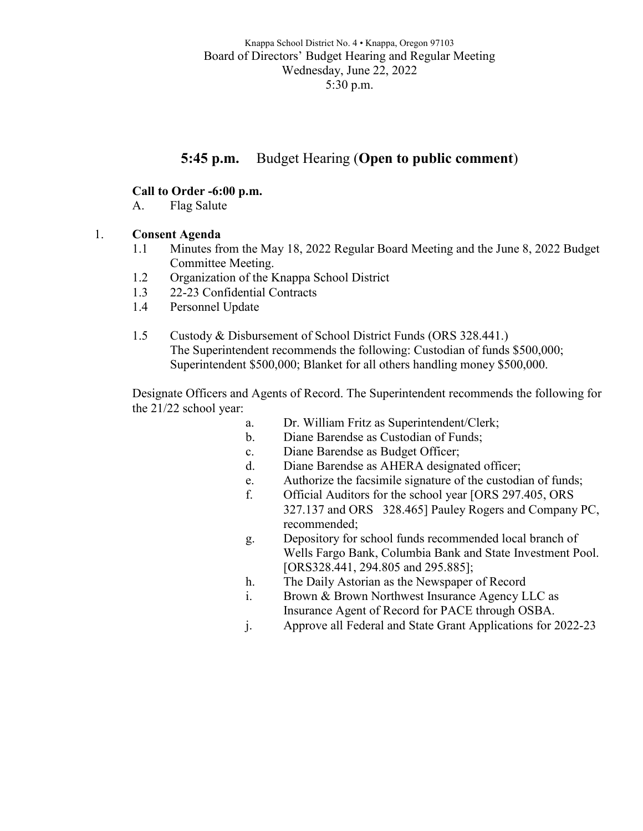# **5:45 p.m.** Budget Hearing (**Open to public comment**)

## **Call to Order -6:00 p.m.**

A. Flag Salute

#### 1. **Consent Agenda**

- 1.1 Minutes from the May 18, 2022 Regular Board Meeting and the June 8, 2022 Budget Committee Meeting.
- 1.2 Organization of the Knappa School District
- 1.3 22-23 Confidential Contracts
- 1.4 Personnel Update
- 1.5 Custody & Disbursement of School District Funds (ORS 328.441.) The Superintendent recommends the following: Custodian of funds \$500,000; Superintendent \$500,000; Blanket for all others handling money \$500,000.

Designate Officers and Agents of Record. The Superintendent recommends the following for the 21/22 school year:

- a. Dr. William Fritz as Superintendent/Clerk;
- b. Diane Barendse as Custodian of Funds;
- c. Diane Barendse as Budget Officer;
- d. Diane Barendse as AHERA designated officer;
- e. Authorize the facsimile signature of the custodian of funds;
- f. Official Auditors for the school year [ORS 297.405, ORS 327.137 and ORS 328.465] Pauley Rogers and Company PC, recommended;
- g. Depository for school funds recommended local branch of Wells Fargo Bank, Columbia Bank and State Investment Pool. [ORS328.441, 294.805 and 295.885];
- h. The Daily Astorian as the Newspaper of Record
- i. Brown & Brown Northwest Insurance Agency LLC as Insurance Agent of Record for PACE through OSBA.
- j. Approve all Federal and State Grant Applications for 2022-23